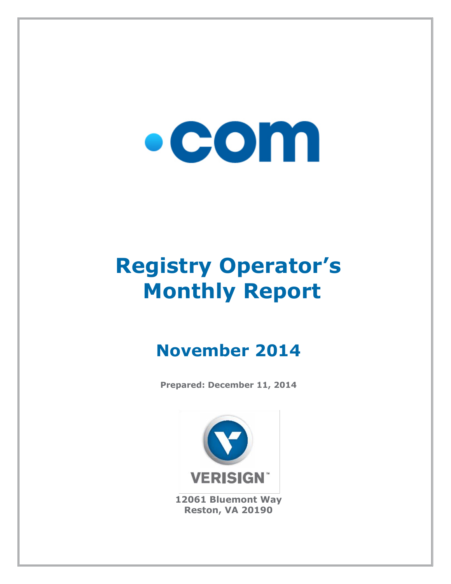# $\bullet$  COM

## **Registry Operator's Monthly Report**

### **November 2014**

**Prepared: December 11, 2014**



**12061 Bluemont Way Reston, VA 20190**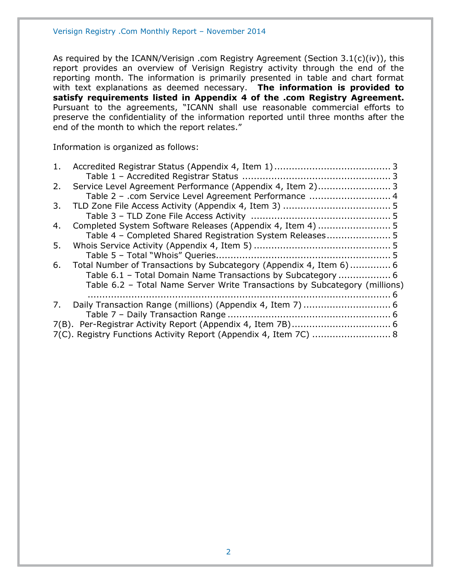As required by the ICANN/Verisign .com Registry Agreement (Section 3.1(c)(iv)), this report provides an overview of Verisign Registry activity through the end of the reporting month. The information is primarily presented in table and chart format with text explanations as deemed necessary. **The information is provided to satisfy requirements listed in Appendix 4 of the .com Registry Agreement.** Pursuant to the agreements, "ICANN shall use reasonable commercial efforts to preserve the confidentiality of the information reported until three months after the end of the month to which the report relates."

Information is organized as follows:

| 1. |                                                                            |  |
|----|----------------------------------------------------------------------------|--|
|    |                                                                            |  |
| 2. | Service Level Agreement Performance (Appendix 4, Item 2) 3                 |  |
|    | Table 2 - .com Service Level Agreement Performance  4                      |  |
| 3. |                                                                            |  |
|    |                                                                            |  |
| 4. |                                                                            |  |
|    | Table 4 - Completed Shared Registration System Releases 5                  |  |
| 5. |                                                                            |  |
|    |                                                                            |  |
| 6. | Total Number of Transactions by Subcategory (Appendix 4, Item 6)  6        |  |
|    | Table 6.1 - Total Domain Name Transactions by Subcategory  6               |  |
|    | Table 6.2 - Total Name Server Write Transactions by Subcategory (millions) |  |
|    |                                                                            |  |
| 7. |                                                                            |  |
|    |                                                                            |  |
|    |                                                                            |  |
|    | 7(C). Registry Functions Activity Report (Appendix 4, Item 7C)  8          |  |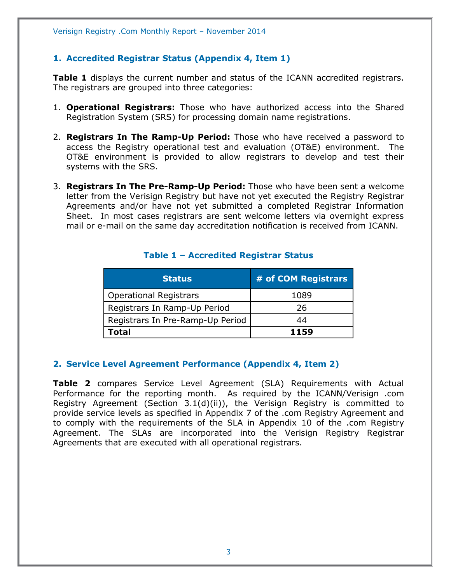#### <span id="page-2-0"></span>**1. Accredited Registrar Status (Appendix 4, Item 1)**

**Table 1** displays the current number and status of the ICANN accredited registrars. The registrars are grouped into three categories:

- 1. **Operational Registrars:** Those who have authorized access into the Shared Registration System (SRS) for processing domain name registrations.
- 2. **Registrars In The Ramp-Up Period:** Those who have received a password to access the Registry operational test and evaluation (OT&E) environment. The OT&E environment is provided to allow registrars to develop and test their systems with the SRS.
- 3. **Registrars In The Pre-Ramp-Up Period:** Those who have been sent a welcome letter from the Verisign Registry but have not yet executed the Registry Registrar Agreements and/or have not yet submitted a completed Registrar Information Sheet. In most cases registrars are sent welcome letters via overnight express mail or e-mail on the same day accreditation notification is received from ICANN.

<span id="page-2-1"></span>

| <b>Status</b>                    | # of COM Registrars |
|----------------------------------|---------------------|
| <b>Operational Registrars</b>    | 1089                |
| Registrars In Ramp-Up Period     | 26                  |
| Registrars In Pre-Ramp-Up Period | 44                  |
| Total                            | 1159                |

#### **Table 1 – Accredited Registrar Status**

#### <span id="page-2-2"></span>**2. Service Level Agreement Performance (Appendix 4, Item 2)**

**Table 2** compares Service Level Agreement (SLA) Requirements with Actual Performance for the reporting month. As required by the ICANN/Verisign .com Registry Agreement (Section 3.1(d)(ii)), the Verisign Registry is committed to provide service levels as specified in Appendix 7 of the .com Registry Agreement and to comply with the requirements of the SLA in Appendix 10 of the .com Registry Agreement. The SLAs are incorporated into the Verisign Registry Registrar Agreements that are executed with all operational registrars.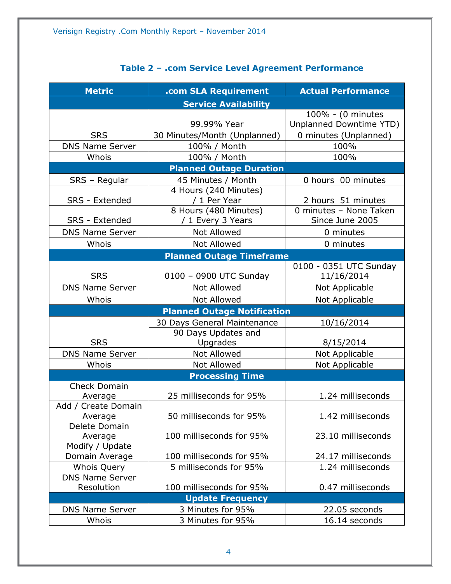<span id="page-3-0"></span>

| <b>Metric</b>                     | .com SLA Requirement               | <b>Actual Performance</b> |  |  |  |
|-----------------------------------|------------------------------------|---------------------------|--|--|--|
| <b>Service Availability</b>       |                                    |                           |  |  |  |
|                                   |                                    | 100% - (0 minutes         |  |  |  |
|                                   | 99.99% Year                        | Unplanned Downtime YTD)   |  |  |  |
| <b>SRS</b>                        | 30 Minutes/Month (Unplanned)       | 0 minutes (Unplanned)     |  |  |  |
| <b>DNS Name Server</b>            | 100% / Month                       | 100%                      |  |  |  |
| Whois                             | 100% / Month                       | 100%                      |  |  |  |
|                                   | <b>Planned Outage Duration</b>     |                           |  |  |  |
| SRS - Regular                     | 45 Minutes / Month                 | 0 hours 00 minutes        |  |  |  |
|                                   | 4 Hours (240 Minutes)              |                           |  |  |  |
| <b>SRS</b> - Extended             | / 1 Per Year                       | 2 hours 51 minutes        |  |  |  |
|                                   | 8 Hours (480 Minutes)              | 0 minutes - None Taken    |  |  |  |
| SRS - Extended                    | / 1 Every 3 Years                  | Since June 2005           |  |  |  |
| <b>DNS Name Server</b>            | <b>Not Allowed</b>                 | 0 minutes                 |  |  |  |
| Whois                             | <b>Not Allowed</b>                 | 0 minutes                 |  |  |  |
|                                   | <b>Planned Outage Timeframe</b>    |                           |  |  |  |
|                                   |                                    | 0100 - 0351 UTC Sunday    |  |  |  |
| <b>SRS</b>                        | 0100 - 0900 UTC Sunday             | 11/16/2014                |  |  |  |
| <b>DNS Name Server</b>            | <b>Not Allowed</b>                 | Not Applicable            |  |  |  |
| Whois                             | <b>Not Allowed</b>                 | Not Applicable            |  |  |  |
|                                   | <b>Planned Outage Notification</b> |                           |  |  |  |
|                                   | 30 Days General Maintenance        | 10/16/2014                |  |  |  |
|                                   | 90 Days Updates and                |                           |  |  |  |
| <b>SRS</b>                        | Upgrades                           | 8/15/2014                 |  |  |  |
| <b>DNS Name Server</b>            | <b>Not Allowed</b>                 | Not Applicable            |  |  |  |
| Whois                             | Not Allowed                        | Not Applicable            |  |  |  |
|                                   | <b>Processing Time</b>             |                           |  |  |  |
| <b>Check Domain</b>               |                                    |                           |  |  |  |
| Average                           | 25 milliseconds for 95%            | 1.24 milliseconds         |  |  |  |
| Add / Create Domain               |                                    |                           |  |  |  |
| Average                           | 50 milliseconds for 95%            | 1.42 milliseconds         |  |  |  |
| Delete Domain                     |                                    |                           |  |  |  |
| Average                           | 100 milliseconds for 95%           | 23.10 milliseconds        |  |  |  |
| Modify / Update<br>Domain Average | 100 milliseconds for 95%           | 24.17 milliseconds        |  |  |  |
| <b>Whois Query</b>                | 5 milliseconds for 95%             | 1.24 milliseconds         |  |  |  |
| <b>DNS Name Server</b>            |                                    |                           |  |  |  |
| Resolution                        | 100 milliseconds for 95%           | 0.47 milliseconds         |  |  |  |
|                                   | <b>Update Frequency</b>            |                           |  |  |  |
| <b>DNS Name Server</b>            | 3 Minutes for 95%                  | 22.05 seconds             |  |  |  |
| Whois                             | 3 Minutes for 95%                  | 16.14 seconds             |  |  |  |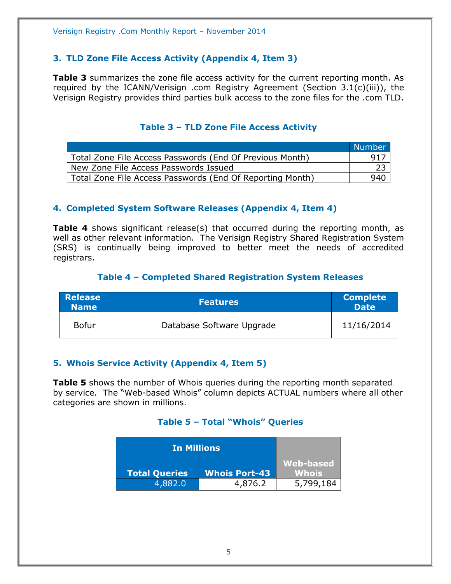#### <span id="page-4-0"></span>**3. TLD Zone File Access Activity (Appendix 4, Item 3)**

**Table 3** summarizes the zone file access activity for the current reporting month. As required by the ICANN/Verisign .com Registry Agreement (Section 3.1(c)(iii)), the Verisign Registry provides third parties bulk access to the zone files for the .com TLD.

#### **Table 3 – TLD Zone File Access Activity**

<span id="page-4-1"></span>

|                                                           | Number |
|-----------------------------------------------------------|--------|
| Total Zone File Access Passwords (End Of Previous Month)  | 917    |
| New Zone File Access Passwords Issued                     |        |
| Total Zone File Access Passwords (End Of Reporting Month) | 940    |

#### <span id="page-4-2"></span>**4. Completed System Software Releases (Appendix 4, Item 4)**

**Table 4** shows significant release(s) that occurred during the reporting month, as well as other relevant information. The Verisign Registry Shared Registration System (SRS) is continually being improved to better meet the needs of accredited registrars.

#### **Table 4 – Completed Shared Registration System Releases**

<span id="page-4-3"></span>

| <b>Release</b><br><b>Name</b> | <b>Features</b>           | <b>Complete</b><br><b>Date</b> |
|-------------------------------|---------------------------|--------------------------------|
| <b>Bofur</b>                  | Database Software Upgrade | 11/16/2014                     |

#### <span id="page-4-4"></span>**5. Whois Service Activity (Appendix 4, Item 5)**

<span id="page-4-5"></span>**Table 5** shows the number of Whois queries during the reporting month separated by service. The "Web-based Whois" column depicts ACTUAL numbers where all other categories are shown in millions.

#### **Table 5 – Total "Whois" Queries**

<span id="page-4-6"></span>

| <b>In Millions</b>   |                      |                           |
|----------------------|----------------------|---------------------------|
| <b>Total Queries</b> | <b>Whois Port-43</b> | <b>Web-based</b><br>Whois |
|                      |                      |                           |
| 4,882.0              | 4,876.2              | 5,799,184                 |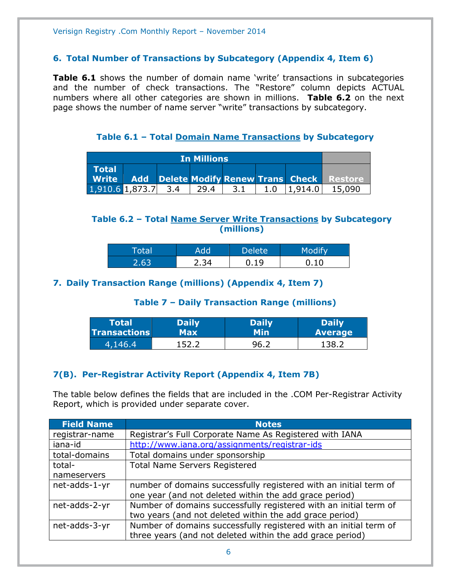#### **6. Total Number of Transactions by Subcategory (Appendix 4, Item 6)**

**Table 6.1** shows the number of domain name 'write' transactions in subcategories and the number of check transactions. The "Restore" column depicts ACTUAL numbers where all other categories are shown in millions. **Table 6.2** on the next page shows the number of name server "write" transactions by subcategory.

**Table 6.1 – Total Domain Name Transactions by Subcategory**

<span id="page-5-0"></span>

| <b>In Millions</b> |  |     |      |     |     |         |                                                   |
|--------------------|--|-----|------|-----|-----|---------|---------------------------------------------------|
| <b>Total</b>       |  |     |      |     |     |         |                                                   |
|                    |  |     |      |     |     |         | Write Add Delete Modify Renew Trans Check Restore |
| $1,910.6$ 1,873.7  |  | 3.4 | 29.4 | 3.1 | 1.0 | 1,914,0 | 15,090                                            |

#### <span id="page-5-1"></span>**Table 6.2 – Total Name Server Write Transactions by Subcategory (millions)**

| <b>Total</b> | <b>dd</b> | <b>Delete</b> | $\sim$ $\sim$ $\sim$ $\sim$ |
|--------------|-----------|---------------|-----------------------------|
| 2 R.R        | -34       | 1 Q           | 10 <sup>1</sup>             |

#### <span id="page-5-3"></span><span id="page-5-2"></span>**7. Daily Transaction Range (millions) (Appendix 4, Item 7)**

#### **Table 7 – Daily Transaction Range (millions)**

| Total               | <b>Daily</b> | <b>Daily</b> | <b>Daily</b>   |
|---------------------|--------------|--------------|----------------|
| <b>Transactions</b> | Max          | Min.         | <b>Average</b> |
| 4,146.4             | 1522         | $-96 -$      | 138.2          |

#### <span id="page-5-4"></span>**7(B). Per-Registrar Activity Report (Appendix 4, Item 7B)**

The table below defines the fields that are included in the .COM Per-Registrar Activity Report, which is provided under separate cover.

| <b>Field Name</b> | <b>Notes</b>                                                      |
|-------------------|-------------------------------------------------------------------|
| registrar-name    | Registrar's Full Corporate Name As Registered with IANA           |
| iana-id           | http://www.iana.org/assignments/registrar-ids                     |
| total-domains     | Total domains under sponsorship                                   |
| total-            | <b>Total Name Servers Registered</b>                              |
| nameservers       |                                                                   |
| net-adds-1-yr     | number of domains successfully registered with an initial term of |
|                   | one year (and not deleted within the add grace period)            |
| net-adds-2-yr     | Number of domains successfully registered with an initial term of |
|                   | two years (and not deleted within the add grace period)           |
| net-adds-3-yr     | Number of domains successfully registered with an initial term of |
|                   | three years (and not deleted within the add grace period)         |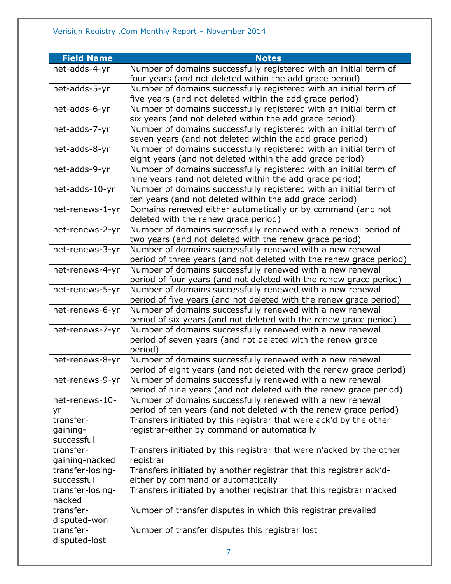| <b>Field Name</b> | <b>Notes</b>                                                                                                             |
|-------------------|--------------------------------------------------------------------------------------------------------------------------|
| net-adds-4-yr     | Number of domains successfully registered with an initial term of                                                        |
|                   | four years (and not deleted within the add grace period)                                                                 |
| net-adds-5-yr     | Number of domains successfully registered with an initial term of                                                        |
|                   | five years (and not deleted within the add grace period)                                                                 |
| net-adds-6-yr     | Number of domains successfully registered with an initial term of                                                        |
|                   | six years (and not deleted within the add grace period)                                                                  |
| net-adds-7-yr     | Number of domains successfully registered with an initial term of                                                        |
|                   | seven years (and not deleted within the add grace period)                                                                |
| net-adds-8-yr     | Number of domains successfully registered with an initial term of                                                        |
|                   | eight years (and not deleted within the add grace period)                                                                |
| net-adds-9-yr     | Number of domains successfully registered with an initial term of                                                        |
|                   | nine years (and not deleted within the add grace period)                                                                 |
| net-adds-10-yr    | Number of domains successfully registered with an initial term of                                                        |
|                   | ten years (and not deleted within the add grace period)                                                                  |
| net-renews-1-yr   | Domains renewed either automatically or by command (and not                                                              |
|                   | deleted with the renew grace period)                                                                                     |
| net-renews-2-yr   | Number of domains successfully renewed with a renewal period of                                                          |
|                   | two years (and not deleted with the renew grace period)                                                                  |
| net-renews-3-yr   | Number of domains successfully renewed with a new renewal                                                                |
|                   | period of three years (and not deleted with the renew grace period)                                                      |
| net-renews-4-yr   | Number of domains successfully renewed with a new renewal                                                                |
|                   | period of four years (and not deleted with the renew grace period)                                                       |
| net-renews-5-yr   | Number of domains successfully renewed with a new renewal                                                                |
|                   | period of five years (and not deleted with the renew grace period)                                                       |
| net-renews-6-yr   | Number of domains successfully renewed with a new renewal                                                                |
|                   | period of six years (and not deleted with the renew grace period)                                                        |
| net-renews-7-yr   | Number of domains successfully renewed with a new renewal<br>period of seven years (and not deleted with the renew grace |
|                   | period)                                                                                                                  |
| net-renews-8-yr   | Number of domains successfully renewed with a new renewal                                                                |
|                   | period of eight years (and not deleted with the renew grace period)                                                      |
| net-renews-9-yr   | Number of domains successfully renewed with a new renewal                                                                |
|                   | period of nine years (and not deleted with the renew grace period)                                                       |
| net-renews-10-    | Number of domains successfully renewed with a new renewal                                                                |
| yr                | period of ten years (and not deleted with the renew grace period)                                                        |
| transfer-         | Transfers initiated by this registrar that were ack'd by the other                                                       |
| gaining-          | registrar-either by command or automatically                                                                             |
| successful        |                                                                                                                          |
| transfer-         | Transfers initiated by this registrar that were n'acked by the other                                                     |
| gaining-nacked    | registrar                                                                                                                |
| transfer-losing-  | Transfers initiated by another registrar that this registrar ack'd-                                                      |
| successful        | either by command or automatically                                                                                       |
| transfer-losing-  | Transfers initiated by another registrar that this registrar n'acked                                                     |
| nacked            |                                                                                                                          |
| transfer-         | Number of transfer disputes in which this registrar prevailed                                                            |
| disputed-won      |                                                                                                                          |
| transfer-         | Number of transfer disputes this registrar lost                                                                          |
| disputed-lost     |                                                                                                                          |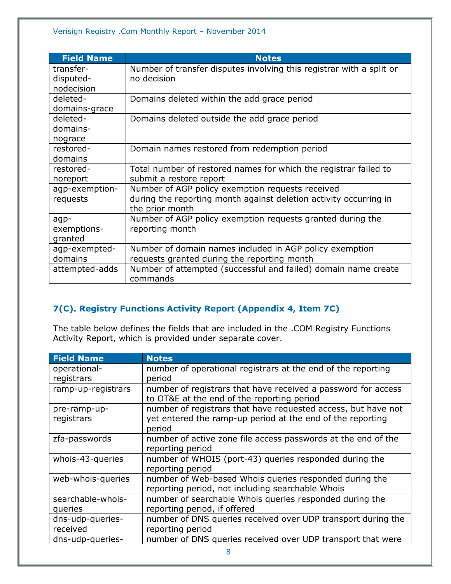| <b>Field Name</b> | <b>Notes</b>                                                         |
|-------------------|----------------------------------------------------------------------|
| transfer-         | Number of transfer disputes involving this registrar with a split or |
| disputed-         | no decision                                                          |
| nodecision        |                                                                      |
| deleted-          | Domains deleted within the add grace period                          |
| domains-grace     |                                                                      |
| deleted-          | Domains deleted outside the add grace period                         |
| domains-          |                                                                      |
| nograce           |                                                                      |
| restored-         | Domain names restored from redemption period                         |
| domains           |                                                                      |
| restored-         | Total number of restored names for which the registrar failed to     |
| noreport          | submit a restore report                                              |
| agp-exemption-    | Number of AGP policy exemption requests received                     |
| requests          | during the reporting month against deletion activity occurring in    |
|                   | the prior month                                                      |
| agp-              | Number of AGP policy exemption requests granted during the           |
| exemptions-       | reporting month                                                      |
| granted           |                                                                      |
| agp-exempted-     | Number of domain names included in AGP policy exemption              |
| domains           | requests granted during the reporting month                          |
| attempted-adds    | Number of attempted (successful and failed) domain name create       |
|                   | commands                                                             |

#### <span id="page-7-0"></span>**7(C). Registry Functions Activity Report (Appendix 4, Item 7C)**

The table below defines the fields that are included in the .COM Registry Functions Activity Report, which is provided under separate cover.

| <b>Field Name</b>  | <b>Notes</b>                                                  |
|--------------------|---------------------------------------------------------------|
| operational-       | number of operational registrars at the end of the reporting  |
| registrars         | period                                                        |
| ramp-up-registrars | number of registrars that have received a password for access |
|                    | to OT&E at the end of the reporting period                    |
| pre-ramp-up-       | number of registrars that have requested access, but have not |
| registrars         | yet entered the ramp-up period at the end of the reporting    |
|                    | period                                                        |
| zfa-passwords      | number of active zone file access passwords at the end of the |
|                    | reporting period                                              |
| whois-43-queries   | number of WHOIS (port-43) queries responded during the        |
|                    | reporting period                                              |
| web-whois-queries  | number of Web-based Whois queries responded during the        |
|                    | reporting period, not including searchable Whois              |
| searchable-whois-  | number of searchable Whois queries responded during the       |
| queries            | reporting period, if offered                                  |
| dns-udp-queries-   | number of DNS queries received over UDP transport during the  |
| received           | reporting period                                              |
| dns-udp-queries-   | number of DNS queries received over UDP transport that were   |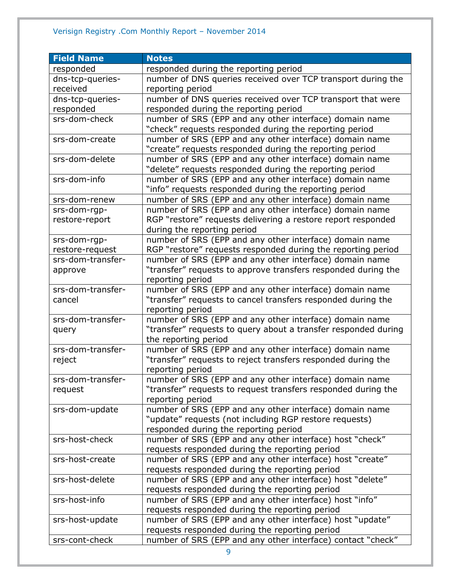#### Verisign Registry .Com Monthly Report – November 2014

| <b>Field Name</b> | <b>Notes</b>                                                                |
|-------------------|-----------------------------------------------------------------------------|
| responded         | responded during the reporting period                                       |
| dns-tcp-queries-  | number of DNS queries received over TCP transport during the                |
| received          | reporting period                                                            |
| dns-tcp-queries-  | number of DNS queries received over TCP transport that were                 |
| responded         | responded during the reporting period                                       |
| srs-dom-check     | number of SRS (EPP and any other interface) domain name                     |
|                   | "check" requests responded during the reporting period                      |
| srs-dom-create    | number of SRS (EPP and any other interface) domain name                     |
|                   | "create" requests responded during the reporting period                     |
| srs-dom-delete    | number of SRS (EPP and any other interface) domain name                     |
|                   | "delete" requests responded during the reporting period                     |
| srs-dom-info      | number of SRS (EPP and any other interface) domain name                     |
|                   | "info" requests responded during the reporting period                       |
| srs-dom-renew     | number of SRS (EPP and any other interface) domain name                     |
| srs-dom-rgp-      | number of SRS (EPP and any other interface) domain name                     |
| restore-report    | RGP "restore" requests delivering a restore report responded                |
|                   | during the reporting period                                                 |
| srs-dom-rgp-      | number of SRS (EPP and any other interface) domain name                     |
| restore-request   | RGP "restore" requests responded during the reporting period                |
| srs-dom-transfer- | number of SRS (EPP and any other interface) domain name                     |
| approve           | "transfer" requests to approve transfers responded during the               |
|                   | reporting period                                                            |
| srs-dom-transfer- | number of SRS (EPP and any other interface) domain name                     |
| cancel            | "transfer" requests to cancel transfers responded during the                |
|                   | reporting period                                                            |
| srs-dom-transfer- | number of SRS (EPP and any other interface) domain name                     |
| query             | "transfer" requests to query about a transfer responded during              |
|                   | the reporting period                                                        |
| srs-dom-transfer- | number of SRS (EPP and any other interface) domain name                     |
| reject            | "transfer" requests to reject transfers responded during the                |
|                   | reporting period                                                            |
| srs-dom-transfer- | number of SRS (EPP and any other interface) domain name                     |
| request           | "transfer" requests to request transfers responded during the               |
|                   | reporting period<br>number of SRS (EPP and any other interface) domain name |
| srs-dom-update    | "update" requests (not including RGP restore requests)                      |
|                   | responded during the reporting period                                       |
| srs-host-check    | number of SRS (EPP and any other interface) host "check"                    |
|                   | requests responded during the reporting period                              |
| srs-host-create   | number of SRS (EPP and any other interface) host "create"                   |
|                   | requests responded during the reporting period                              |
| srs-host-delete   | number of SRS (EPP and any other interface) host "delete"                   |
|                   | requests responded during the reporting period                              |
| srs-host-info     | number of SRS (EPP and any other interface) host "info"                     |
|                   | requests responded during the reporting period                              |
| srs-host-update   | number of SRS (EPP and any other interface) host "update"                   |
|                   | requests responded during the reporting period                              |
| srs-cont-check    | number of SRS (EPP and any other interface) contact "check"                 |
|                   |                                                                             |